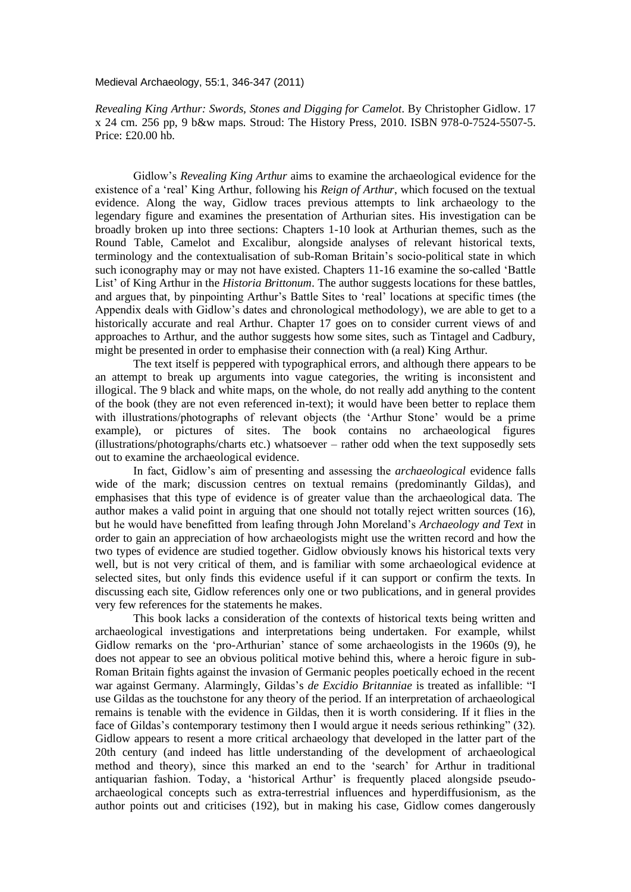Medieval Archaeology, 55:1, 346-347 (2011)

*Revealing King Arthur: Swords, Stones and Digging for Camelot*. By Christopher Gidlow. 17 x 24 cm. 256 pp, 9 b&w maps. Stroud: The History Press, 2010. ISBN 978-0-7524-5507-5. Price: £20.00 hb.

Gidlow's *Revealing King Arthur* aims to examine the archaeological evidence for the existence of a 'real' King Arthur, following his *Reign of Arthur*, which focused on the textual evidence. Along the way, Gidlow traces previous attempts to link archaeology to the legendary figure and examines the presentation of Arthurian sites. His investigation can be broadly broken up into three sections: Chapters 1-10 look at Arthurian themes, such as the Round Table, Camelot and Excalibur, alongside analyses of relevant historical texts, terminology and the contextualisation of sub-Roman Britain's socio-political state in which such iconography may or may not have existed. Chapters 11-16 examine the so-called 'Battle List' of King Arthur in the *Historia Brittonum*. The author suggests locations for these battles, and argues that, by pinpointing Arthur's Battle Sites to 'real' locations at specific times (the Appendix deals with Gidlow's dates and chronological methodology), we are able to get to a historically accurate and real Arthur. Chapter 17 goes on to consider current views of and approaches to Arthur, and the author suggests how some sites, such as Tintagel and Cadbury, might be presented in order to emphasise their connection with (a real) King Arthur.

The text itself is peppered with typographical errors, and although there appears to be an attempt to break up arguments into vague categories, the writing is inconsistent and illogical. The 9 black and white maps, on the whole, do not really add anything to the content of the book (they are not even referenced in-text); it would have been better to replace them with illustrations/photographs of relevant objects (the 'Arthur Stone' would be a prime example), or pictures of sites. The book contains no archaeological figures (illustrations/photographs/charts etc.) whatsoever – rather odd when the text supposedly sets out to examine the archaeological evidence.

In fact, Gidlow's aim of presenting and assessing the *archaeological* evidence falls wide of the mark; discussion centres on textual remains (predominantly Gildas), and emphasises that this type of evidence is of greater value than the archaeological data. The author makes a valid point in arguing that one should not totally reject written sources (16), but he would have benefitted from leafing through John Moreland's *Archaeology and Text* in order to gain an appreciation of how archaeologists might use the written record and how the two types of evidence are studied together. Gidlow obviously knows his historical texts very well, but is not very critical of them, and is familiar with some archaeological evidence at selected sites, but only finds this evidence useful if it can support or confirm the texts. In discussing each site, Gidlow references only one or two publications, and in general provides very few references for the statements he makes.

This book lacks a consideration of the contexts of historical texts being written and archaeological investigations and interpretations being undertaken. For example, whilst Gidlow remarks on the 'pro-Arthurian' stance of some archaeologists in the 1960s (9), he does not appear to see an obvious political motive behind this, where a heroic figure in sub-Roman Britain fights against the invasion of Germanic peoples poetically echoed in the recent war against Germany. Alarmingly, Gildas's *de Excidio Britanniae* is treated as infallible: "I use Gildas as the touchstone for any theory of the period. If an interpretation of archaeological remains is tenable with the evidence in Gildas, then it is worth considering. If it flies in the face of Gildas's contemporary testimony then I would argue it needs serious rethinking" (32). Gidlow appears to resent a more critical archaeology that developed in the latter part of the 20th century (and indeed has little understanding of the development of archaeological method and theory), since this marked an end to the 'search' for Arthur in traditional antiquarian fashion. Today, a 'historical Arthur' is frequently placed alongside pseudoarchaeological concepts such as extra-terrestrial influences and hyperdiffusionism, as the author points out and criticises (192), but in making his case, Gidlow comes dangerously